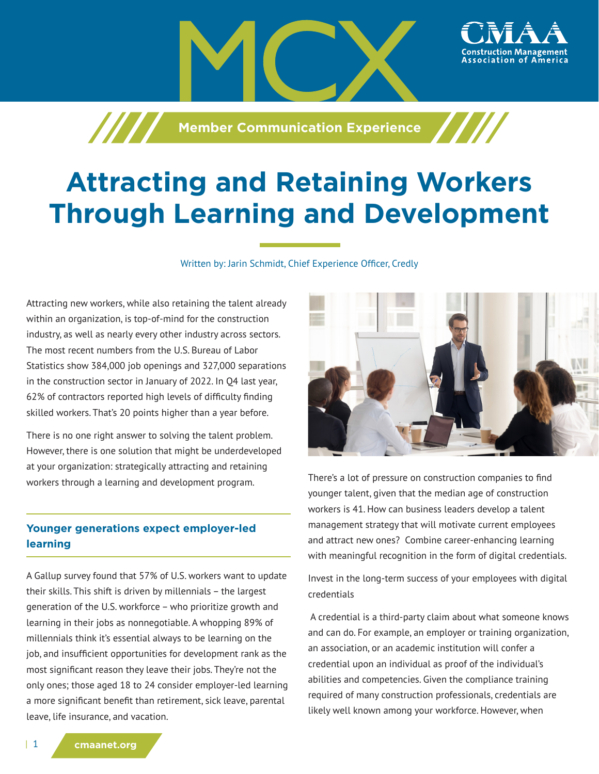

# **Attracting and Retaining Workers Through Learning and Development**

Written by: Jarin Schmidt, Chief Experience Officer, Credly

Attracting new workers, while also retaining the talent already within an organization, is top-of-mind for the construction industry, as well as nearly every other industry across sectors. The most recent numbers from the U.S. Bureau of Labor Statistics show 384,000 job openings and 327,000 separations in the construction sector in January of 2022. In Q4 last year, 62% of contractors reported high levels of difficulty finding skilled workers. That's 20 points higher than a year before.

There is no one right answer to solving the talent problem. However, there is one solution that might be underdeveloped at your organization: strategically attracting and retaining workers through a learning and development program.

# **Younger generations expect employer-led learning**

A Gallup survey found that 57% of U.S. workers want to update their skills. This shift is driven by millennials – the largest generation of the U.S. workforce – who prioritize growth and learning in their jobs as nonnegotiable. A whopping 89% of millennials think it's essential always to be learning on the job, and insufficient opportunities for development rank as the most significant reason they leave their jobs. They're not the only ones; those aged 18 to 24 consider employer-led learning a more significant benefit than retirement, sick leave, parental leave, life insurance, and vacation.



ssociation of

There's a lot of pressure on construction companies to find younger talent, given that the median age of construction workers is 41. How can business leaders develop a talent management strategy that will motivate current employees and attract new ones? Combine career-enhancing learning with meaningful recognition in the form of digital credentials.

Invest in the long-term success of your employees with digital credentials

 A credential is a third-party claim about what someone knows and can do. For example, an employer or training organization, an association, or an academic institution will confer a credential upon an individual as proof of the individual's abilities and competencies. Given the compliance training required of many construction professionals, credentials are likely well known among your workforce. However, when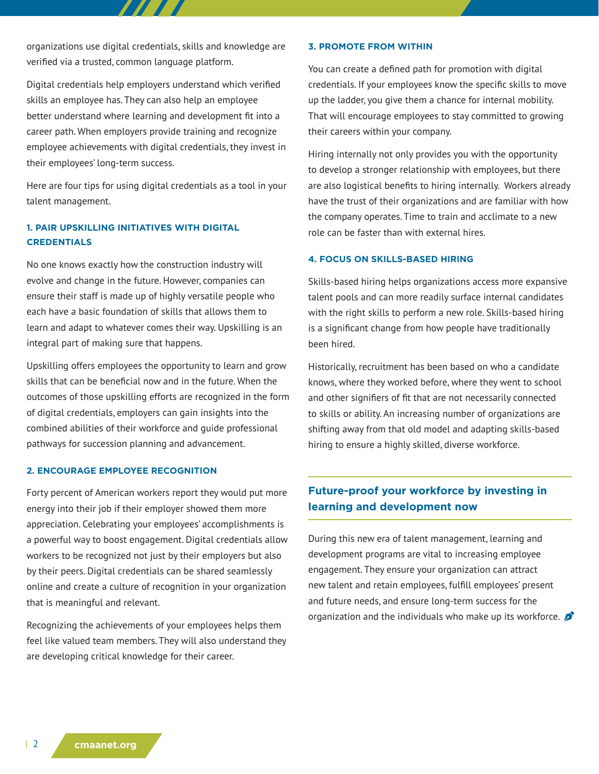organizations use digital credentials, skills and knowledge are verified via a trusted, common language platform.

Digital credentials help employers understand which verified skills an employee has. They can also help an employee better understand where learning and development fit into a career path. When employers provide training and recognize employee achievements with digital credentials, they invest in their employees' long-term success.

Here are four tips for using digital credentials as a tool in your talent management.

## **1. PAIR UPSKILLING INITIATIVES WITH DIGITAL CREDENTIALS**

No one knows exactly how the construction industry will evolve and change in the future. However, companies can ensure their staff is made up of highly versatile people who each have a basic foundation of skills that allows them to learn and adapt to whatever comes their way. Upskilling is an integral part of making sure that happens.

Upskilling offers employees the opportunity to learn and grow skills that can be beneficial now and in the future. When the outcomes of those upskilling efforts are recognized in the form of digital credentials, employers can gain insights into the combined abilities of their workforce and guide professional pathways for succession planning and advancement.

#### **2. ENCOURAGE EMPLOYEE RECOGNITION**

Forty percent of American workers report they would put more energy into their job if their employer showed them more appreciation. Celebrating your employees' accomplishments is a powerful way to boost engagement. Digital credentials allow workers to be recognized not just by their employers but also by their peers. Digital credentials can be shared seamlessly online and create a culture of recognition in your organization that is meaningful and relevant.

Recognizing the achievements of your employees helps them feel like valued team members. They will also understand they are developing critical knowledge for their career.

#### **3. PROMOTE FROM WITHIN**

You can create a defined path for promotion with digital credentials. If your employees know the specific skills to move up the ladder, you give them a chance for internal mobility. That will encourage employees to stay committed to growing their careers within your company.

Hiring internally not only provides you with the opportunity to develop a stronger relationship with employees, but there are also logistical benefits to hiring internally. Workers already have the trust of their organizations and are familiar with how the company operates. Time to train and acclimate to a new role can be faster than with external hires.

### **4. FOCUS ON SKILLS-BASED HIRING**

Skills-based hiring helps organizations access more expansive talent pools and can more readily surface internal candidates with the right skills to perform a new role. Skills-based hiring is a significant change from how people have traditionally been hired.

Historically, recruitment has been based on who a candidate knows, where they worked before, where they went to school and other signifiers of fit that are not necessarily connected to skills or ability. An increasing number of organizations are shifting away from that old model and adapting skills-based hiring to ensure a highly skilled, diverse workforce.

# **Future-proof your workforce by investing in learning and development now**

During this new era of talent management, learning and development programs are vital to increasing employee engagement. They ensure your organization can attract new talent and retain employees, fulfill employees' present and future needs, and ensure long-term success for the organization and the individuals who make up its workforce.  $\sum$